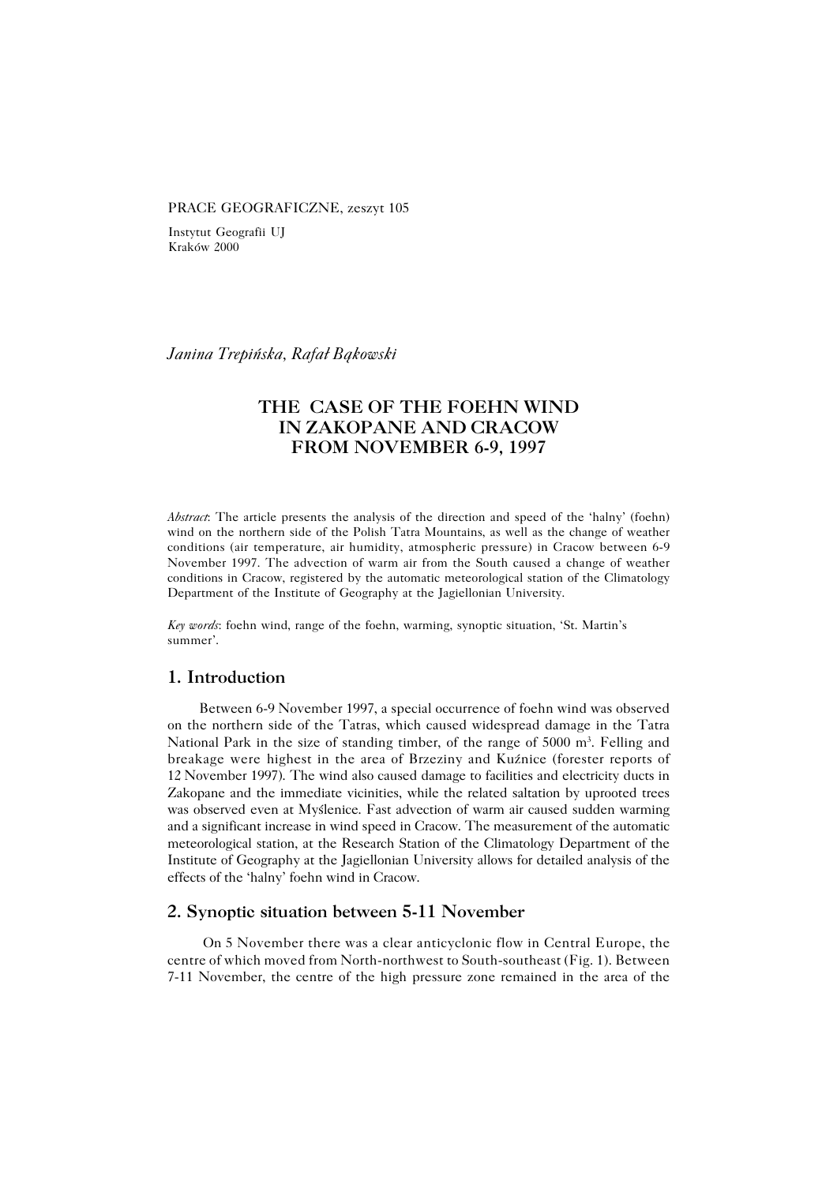#### PRACE GEOGRAFICZNE, zeszyt 105

Instytut Geografii UJ Kraków 2000

*Janina Trepińska, Rafał Bąkowski*

## **THE CASE OF THE FOEHN WIND IN ZAKOPANE AND CRACOW FROM NOVEMBER 6−9, 1997**

*Abstract*: The article presents the analysis of the direction and speed of the 'halny' (foehn) wind on the northern side of the Polish Tatra Mountains, as well as the change of weather conditions (air temperature, air humidity, atmospheric pressure) in Cracow between 6−9 November 1997. The advection of warm air from the South caused a change of weather conditions in Cracow, registered by the automatic meteorological station of the Climatology Department of the Institute of Geography at the Jagiellonian University.

*Key words*: foehn wind, range of the foehn, warming, synoptic situation, 'St. Martin's summer'.

### **1. Introduction**

Between 6−9 November 1997, a special occurrence of foehn wind was observed on the northern side of the Tatras, which caused widespread damage in the Tatra National Park in the size of standing timber, of the range of 5000 m<sup>3</sup>. Felling and breakage were highest in the area of Brzeziny and Kuźnice (forester reports of 12November 1997). The wind also caused damage to facilities and electricity ducts in Zakopane and the immediate vicinities, while the related saltation by uprooted trees was observed even at Myślenice. Fast advection of warm air caused sudden warming and a significant increase in wind speed in Cracow. The measurement of the automatic meteorological station, at the Research Station of the Climatology Department of the Institute of Geography at the Jagiellonian University allows for detailed analysis of the effects of the 'halny' foehn wind in Cracow.

### **2. Synoptic situation between 5−11 November**

 On 5 November there was a clear anticyclonic flow in Central Europe, the centre of which moved from North−northwest to South−southeast (Fig. 1). Between 7−11 November, the centre of the high pressure zone remained in the area of the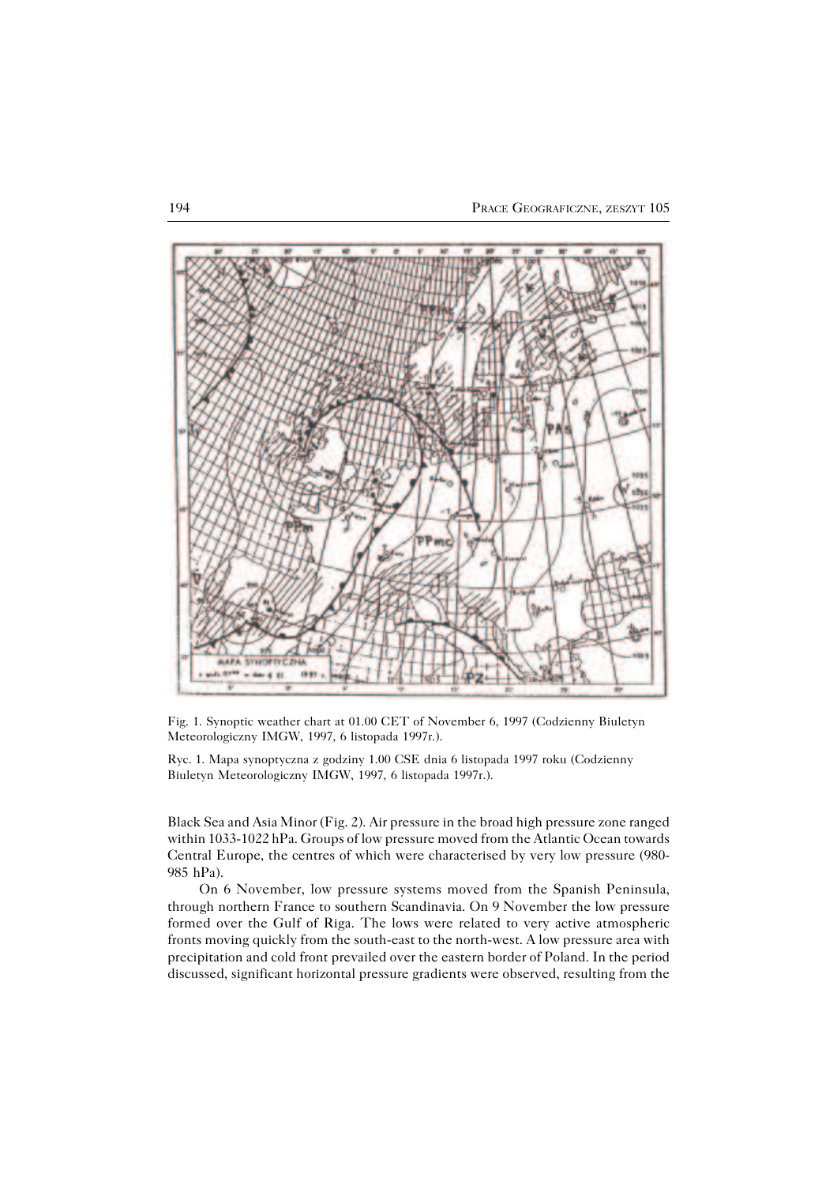

Fig. 1. Synoptic weather chart at 01.00 CET of November 6, 1997 (Codzienny Biuletyn Meteorologiczny IMGW, 1997, 6 listopada 1997r.).

Ryc. 1. Mapa synoptyczna z godziny 1.00 CSE dnia 6 listopada 1997 roku (Codzienny Biuletyn Meteorologiczny IMGW, 1997, 6 listopada 1997r.).

Black Sea and Asia Minor (Fig. 2). Air pressure in the broad high pressure zone ranged within 1033−1022 hPa. Groups of low pressure moved from the Atlantic Ocean towards Central Europe, the centres of which were characterised by very low pressure (980− 985 hPa).

On 6 November, low pressure systems moved from the Spanish Peninsula, through northern France to southern Scandinavia. On 9 November the low pressure formed over the Gulf of Riga. The lows were related to very active atmospheric fronts moving quickly from the south−east to the north−west. A low pressure area with precipitation and cold front prevailed over the eastern border of Poland. In the period discussed, significant horizontal pressure gradients were observed, resulting from the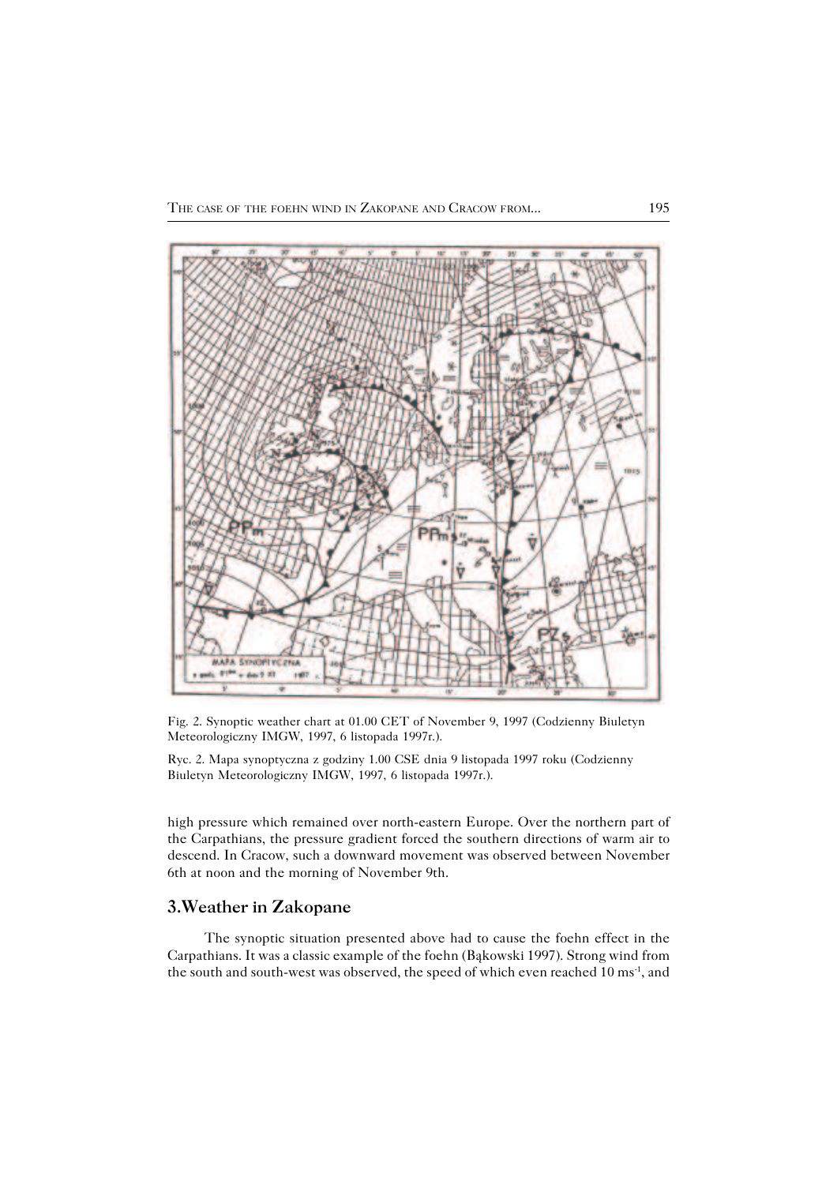

Fig. 2. Synoptic weather chart at 01.00 CET of November 9, 1997 (Codzienny Biuletyn Meteorologiczny IMGW, 1997, 6 listopada 1997r.).

Ryc. 2. Mapa synoptyczna z godziny 1.00 CSE dnia 9 listopada 1997 roku (Codzienny Biuletyn Meteorologiczny IMGW, 1997, 6 listopada 1997r.).

high pressure which remained over north−eastern Europe. Over the northern part of the Carpathians, the pressure gradient forced the southern directions of warm air to descend. In Cracow, such a downward movement was observed between November 6th at noon and the morning of November 9th.

### **3.Weather in Zakopane**

 The synoptic situation presented above had to cause the foehn effect in the Carpathians. It was a classic example of the foehn (Bąkowski 1997). Strong wind from the south and south−west was observed, the speed of which even reached 10 ms−1, and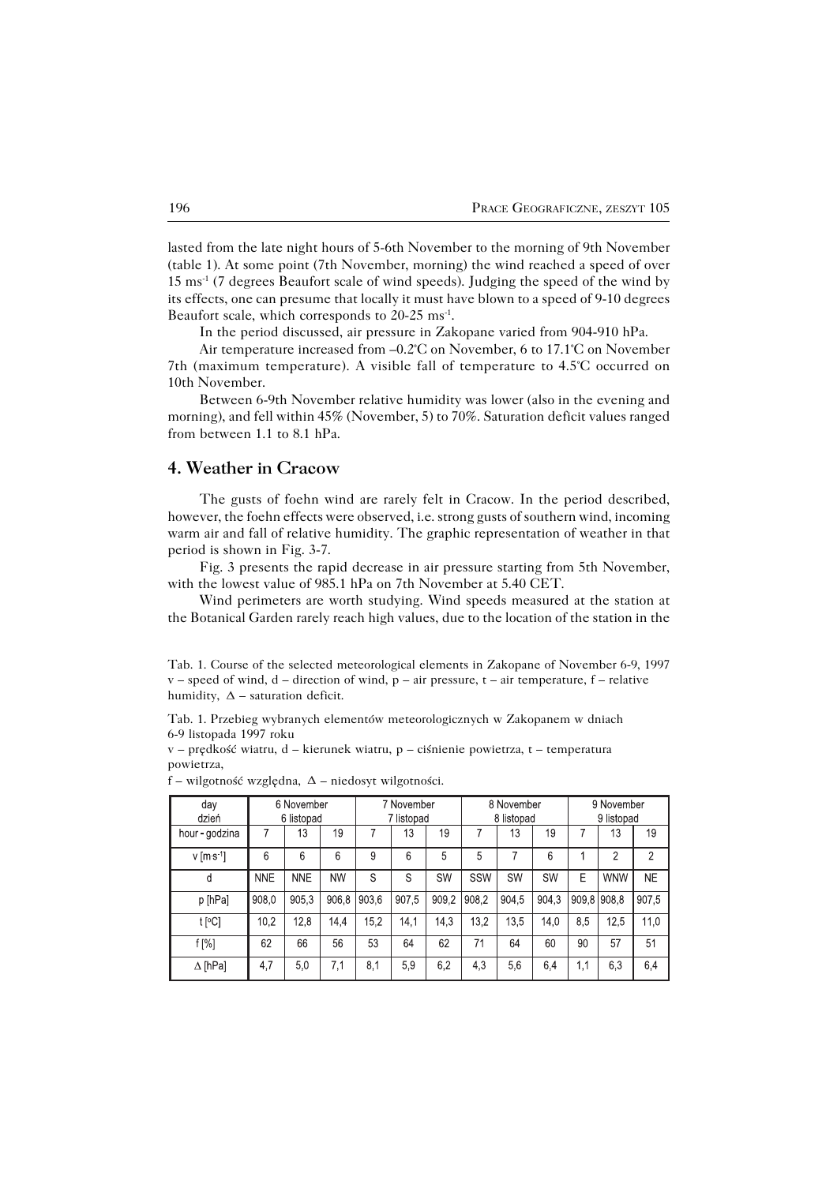lasted from the late night hours of 5−6th November to the morning of 9th November (table 1). At some point (7th November, morning) the wind reached a speed of over 15ms−1 (7 degrees Beaufort scale of wind speeds). Judging the speed of the wind by its effects, one can presume that locally it must have blown to a speed of 9−10 degrees Beaufort scale, which corresponds to 20-25 ms<sup>-1</sup>.

In the period discussed, air pressure in Zakopane varied from 904−910 hPa.

Air temperature increased from –0.2°C on November, 6 to 17.1°C on November 7th (maximum temperature). A visible fall of temperature to 4.5°C occurred on 10th November.

Between 6−9th November relative humidity was lower (also in the evening and morning), and fell within 45% (November, 5) to 70%. Saturation deficit values ranged from between 1.1 to 8.1 hPa.

# **4. Weather in Cracow**

The gusts of foehn wind are rarely felt in Cracow. In the period described, however, the foehn effects were observed, i.e. strong gusts of southern wind, incoming warm air and fall of relative humidity. The graphic representation of weather in that period is shown in Fig. 3−7.

Fig. 3 presents the rapid decrease in air pressure starting from 5th November, with the lowest value of 985.1 hPa on 7th November at 5.40 CET.

Wind perimeters are worth studying. Wind speeds measured at the station at the Botanical Garden rarely reach high values, due to the location of the station in the

Tab. 1. Przebieg wybranych elementów meteorologicznych w Zakopanem w dniach 6−9 listopada 1997 roku

v – prędkość wiatru, d – kierunek wiatru, p – ciśnienie powietrza, t – temperatura powietrza,

| day                     | 6 November |            |           | 7 November |       |       | 8 November |       |           | 9 November |            |                |
|-------------------------|------------|------------|-----------|------------|-------|-------|------------|-------|-----------|------------|------------|----------------|
| dzień                   | 6 listopad |            |           | 7 listopad |       |       | 8 listopad |       |           | 9 listopad |            |                |
| hour - godzina          |            | 13         | 19        |            | 13    | 19    |            | 13    | 19        |            | 13         | 19             |
| $v$ [m s <sup>1</sup> ] | 6          | 6          | 6         | 9          | 6     | 5     | 5          |       | 6         |            | 2          | $\overline{2}$ |
| d                       | <b>NNE</b> | <b>NNE</b> | <b>NW</b> | S          | S     | SW    | SSW        | SW    | <b>SW</b> | E          | <b>WNW</b> | <b>NE</b>      |
| p [hPa]                 | 908,0      | 905.3      | 906.8     | 903,6      | 907,5 | 909,2 | 908,2      | 904,5 | 904,3     | 909.8      | 908,8      | 907,5          |
| t [°C]                  | 10.2       | 12.8       | 14.4      | 15.2       | 14.1  | 14,3  | 13.2       | 13.5  | 14.0      | 8.5        | 12.5       | 11.0           |
| f[%]                    | 62         | 66         | 56        | 53         | 64    | 62    | 71         | 64    | 60        | 90         | 57         | 51             |
| $\Delta$ [hPa]          | 4,7        | 5,0        | 7,1       | 8,1        | 5.9   | 6,2   | 4,3        | 5.6   | 6.4       | 1,1        | 6,3        | 6,4            |

f – wilgotność względna,  $\Delta$  – niedosyt wilgotności.

Tab. 1. Course of the selected meteorological elements in Zakopane of November 6−9, 1997  $v$  – speed of wind, d – direction of wind,  $p$  – air pressure,  $t$  – air temperature,  $f$  – relative humidity,  $\Delta$  – saturation deficit.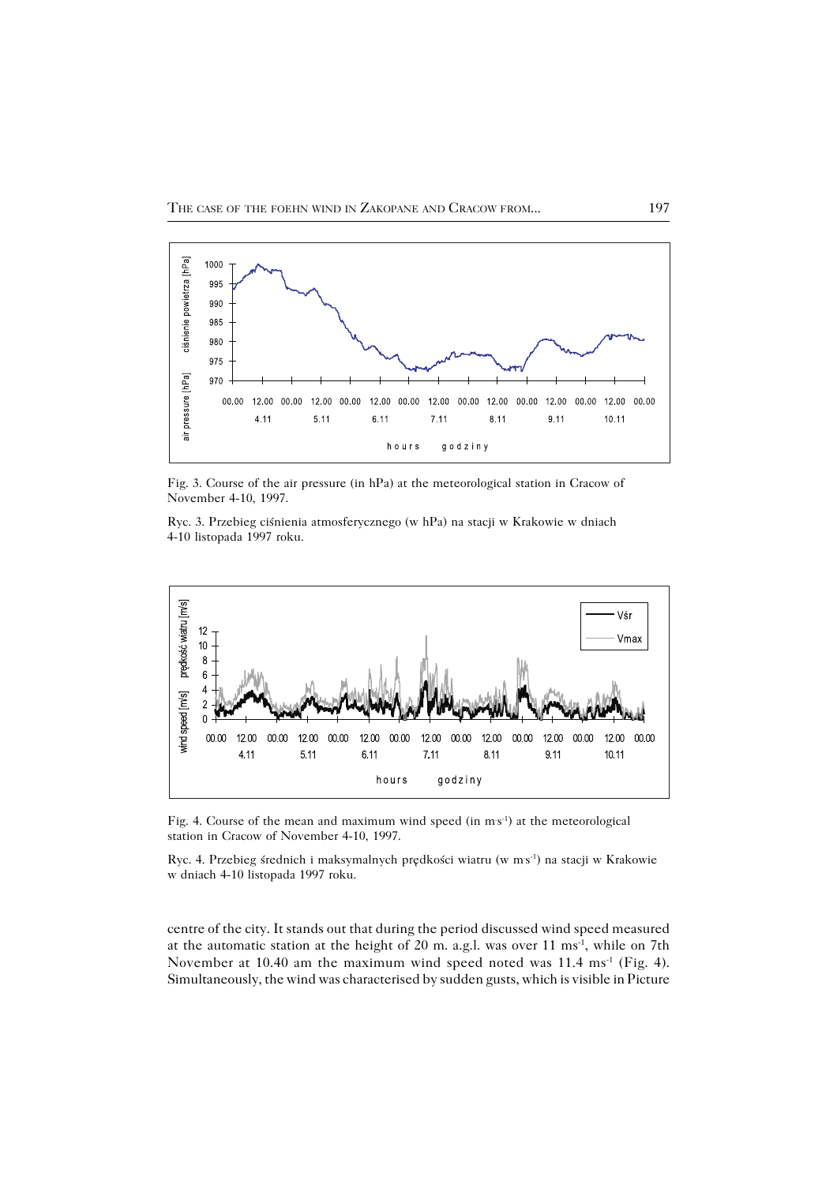

Fig. 3. Course of the air pressure (in hPa) at the meteorological station in Cracow of November 4−10, 1997.

Ryc. 3. Przebieg ciśnienia atmosferycznego (w hPa) na stacji w Krakowie w dniach 4−10 listopada 1997 roku.



Fig. 4. Course of the mean and maximum wind speed (in ms<sup>-1</sup>) at the meteorological station in Cracow of November 4−10, 1997.

Ryc. 4. Przebieg średnich i maksymalnych prędkości wiatru (w ms<sup>-1</sup>) na stacji w Krakowie w dniach 4−10 listopada 1997 roku.

centre of the city. It stands out that during the period discussed wind speed measured at the automatic station at the height of 20 m. a.g.l. was over 11 ms−1, while on 7th November at 10.40 am the maximum wind speed noted was 11.4 ms<sup>-1</sup> (Fig. 4). Simultaneously, the wind was characterised by sudden gusts, which is visible in Picture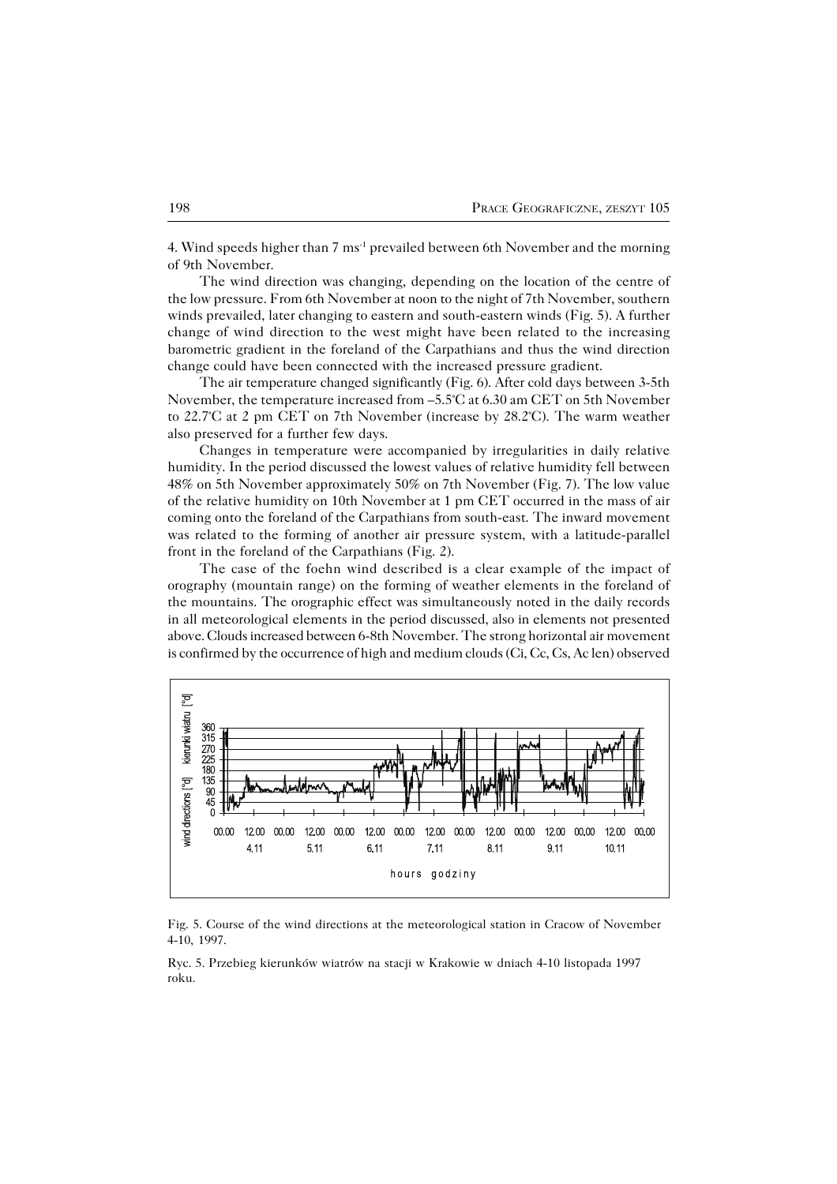4. Wind speeds higher than 7 ms<sup>-1</sup> prevailed between 6th November and the morning of 9th November.

The wind direction was changing, depending on the location of the centre of the low pressure. From 6th November at noon to the night of 7th November, southern winds prevailed, later changing to eastern and south−eastern winds (Fig. 5). A further change of wind direction to the west might have been related to the increasing barometric gradient in the foreland of the Carpathians and thus the wind direction change could have been connected with the increased pressure gradient.

The air temperature changed significantly (Fig. 6). After cold days between 3−5th November, the temperature increased from –5.5°C at 6.30 am CET on 5th November to 22.7°C at 2 pm CET on 7th November (increase by 28.2°C). The warm weather also preserved for a further few days.

Changes in temperature were accompanied by irregularities in daily relative humidity. In the period discussed the lowest values of relative humidity fell between 48% on 5th November approximately 50% on 7th November (Fig. 7). The low value of the relative humidity on 10th November at 1 pm CET occurred in the mass of air coming onto the foreland of the Carpathians from south−east. The inward movement was related to the forming of another air pressure system, with a latitude−parallel front in the foreland of the Carpathians (Fig. 2).

The case of the foehn wind described is a clear example of the impact of orography (mountain range) on the forming of weather elements in the foreland of the mountains. The orographic effect was simultaneously noted in the daily records in all meteorological elements in the period discussed, also in elements not presented above. Clouds increased between 6−8th November. The strong horizontal air movement is confirmed by the occurrence of high and medium clouds (Ci, Cc, Cs, Ac len) observed



Fig. 5. Course of the wind directions at the meteorological station in Cracow of November 4−10, 1997.

Ryc. 5. Przebieg kierunków wiatrów na stacji w Krakowie w dniach 4−10 listopada 1997 roku.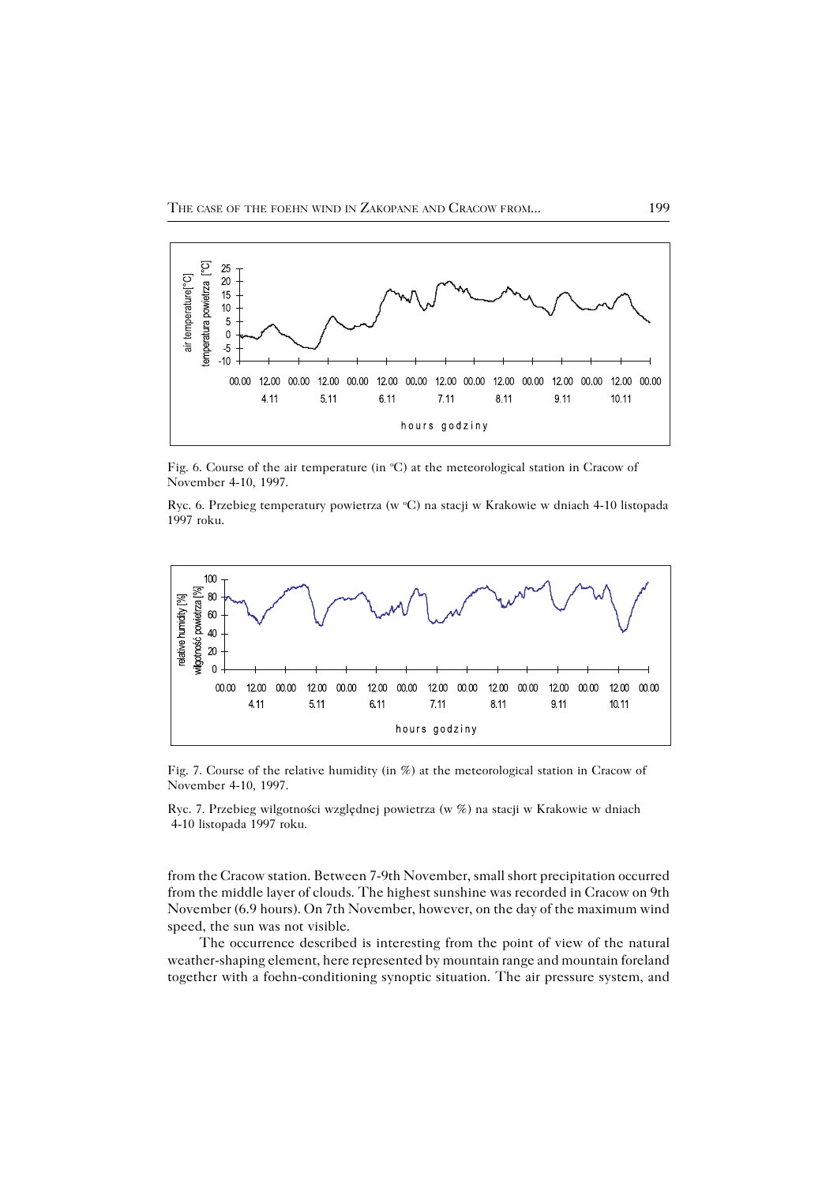

Fig. 6. Course of the air temperature (in °C) at the meteorological station in Cracow of November 4−10, 1997.

Ryc. 6. Przebieg temperatury powietrza (w °C) na stacji w Krakowie w dniach 4-10 listopada 1997 roku.



Fig. 7. Course of the relative humidity (in %) at the meteorological station in Cracow of November 4−10, 1997.

Ryc. 7. Przebieg wilgotności względnej powietrza (w %) na stacji w Krakowie w dniach 4−10 listopada 1997 roku.

from the Cracow station. Between 7−9th November, small short precipitation occurred from the middle layer of clouds. The highest sunshine was recorded in Cracow on 9th November (6.9hours). On 7th November, however, on the day of the maximum wind speed, the sun was not visible.

The occurrence described is interesting from the point of view of the natural weather−shaping element, here represented by mountain range and mountain foreland together with a foehn−conditioning synoptic situation. The air pressure system, and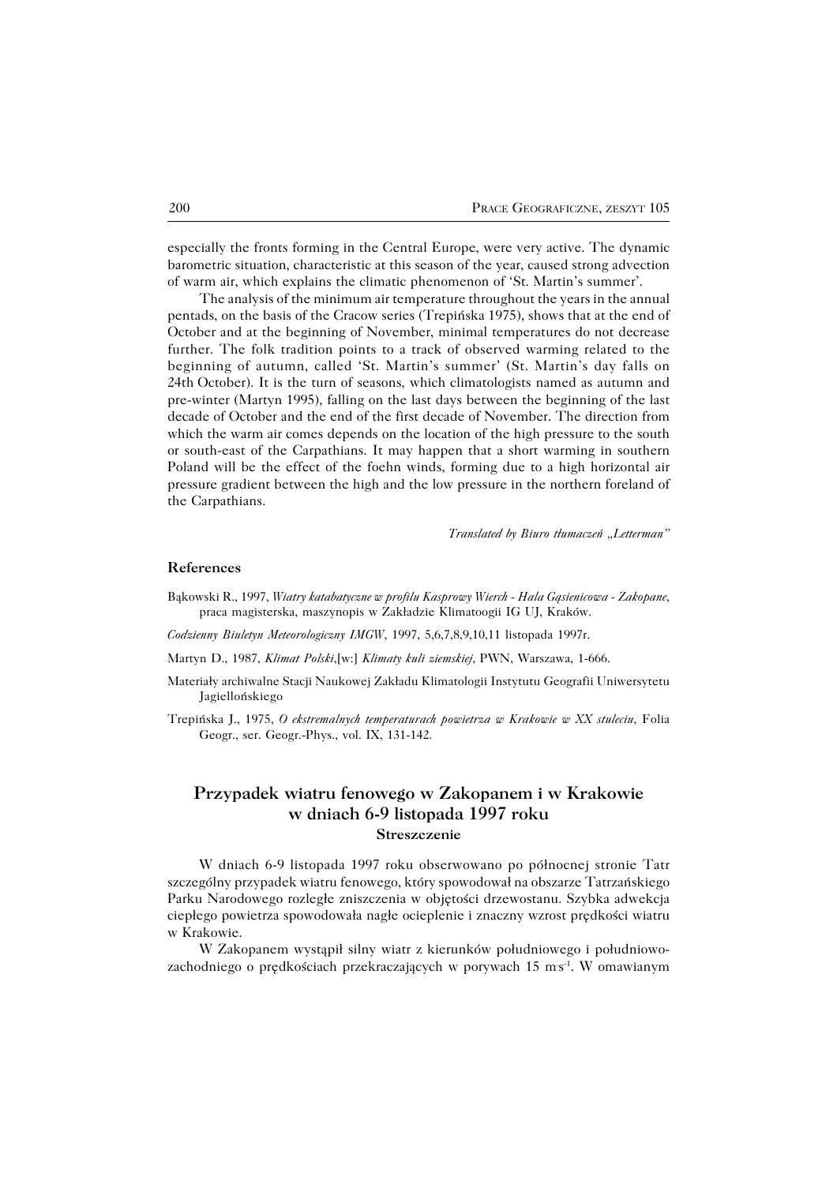especially the fronts forming in the Central Europe, were very active. The dynamic barometric situation, characteristic at this season of the year, caused strong advection of warm air, which explains the climatic phenomenon of 'St. Martin's summer'.

The analysis of the minimum air temperature throughout the years in the annual pentads, on the basis of the Cracow series (Trepińska 1975), shows that at the end of October and at the beginning of November, minimal temperatures do not decrease further. The folk tradition points to a track of observed warming related to the beginning of autumn, called 'St. Martin's summer' (St. Martin's day falls on 24th October). It is the turn of seasons, which climatologists named as autumn and pre−winter (Martyn 1995), falling on the last days between the beginning of the last decade of October and the end of the first decade of November. The direction from which the warm air comes depends on the location of the high pressure to the south or south−east of the Carpathians. It may happen that a short warming in southern Poland will be the effect of the foehn winds, forming due to a high horizontal air pressure gradient between the high and the low pressure in the northern foreland of the Carpathians.

*Translated by Biuro tłumaczeń "Letterman"*

#### **References**

- Bąkowski R., 1997, *Wiatry katabatyczne w profilu Kasprowy Wierch − Hala Gąsienicowa − Zakopane*, praca magisterska, maszynopis w Zakładzie Klimatoogii IG UJ, Kraków.
- *Codzienny Biuletyn Meteorologiczny IMGW*, 1997, 5,6,7,8,9,10,11 listopada 1997r.
- Martyn D., 1987, *Klimat Polski*,[w:] *Klimaty kuli ziemskiej*, PWN, Warszawa, 1−666.
- Materiały archiwalne Stacji Naukowej Zakładu Klimatologii Instytutu Geografii Uniwersytetu Jagiellońskiego
- Trepińska J., 1975, *O ekstremalnych temperaturach powietrza w Krakowie w XX stuleciu*, Folia Geogr., ser. Geogr.−Phys., vol. IX, 131−142.

## **Przypadek wiatru fenowego w Zakopanem i w Krakowie w dniach 6−9 listopada 1997 roku Streszczenie**

W dniach 6−9 listopada 1997 roku obserwowano po północnej stronie Tatr szczególny przypadek wiatru fenowego, który spowodował na obszarze Tatrzańskiego Parku Narodowego rozległe zniszczenia w objętości drzewostanu. Szybka adwekcja ciepłego powietrza spowodowała nagłe ocieplenie i znaczny wzrost prędkości wiatru w Krakowie.

W Zakopanem wystąpił silny wiatr z kierunków południowego i południowo− zachodniego o prędkościach przekraczających w porywach 15 m·s<sup>-1</sup>. W omawianym